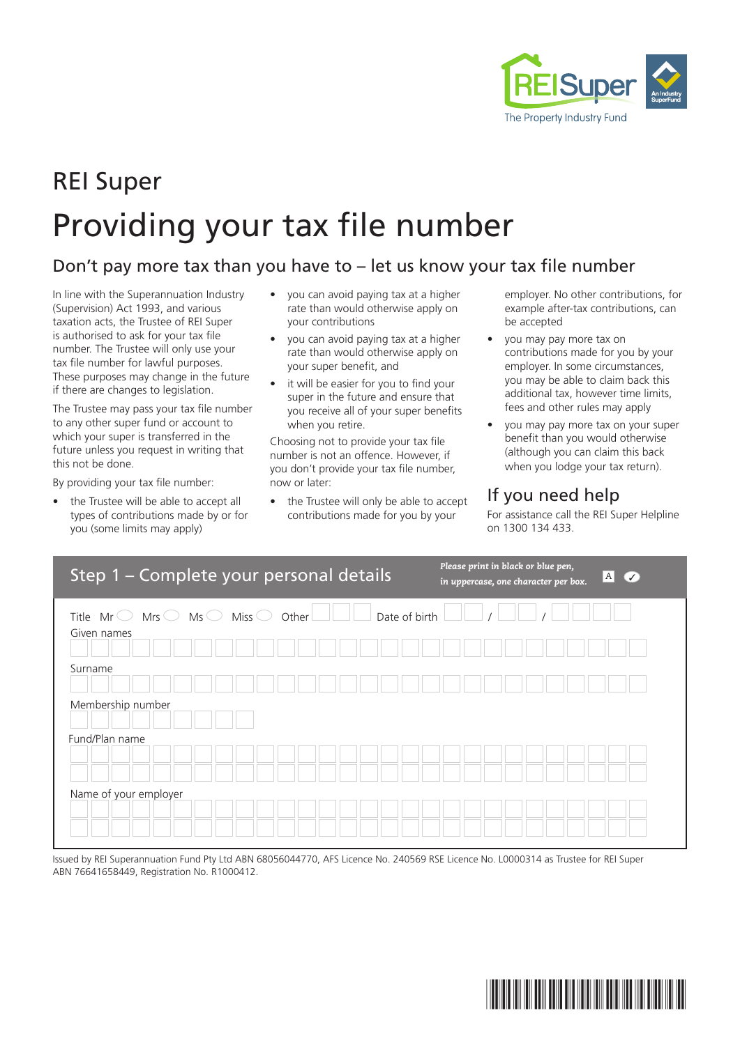

# REI Super Providing your tax file number

#### Don't pay more tax than you have to – let us know your tax file number

In line with the Superannuation Industry (Supervision) Act 1993, and various taxation acts, the Trustee of REI Super is authorised to ask for your tax file number. The Trustee will only use your tax file number for lawful purposes. These purposes may change in the future if there are changes to legislation.

The Trustee may pass your tax file number to any other super fund or account to which your super is transferred in the future unless you request in writing that this not be done.

By providing your tax file number:

the Trustee will be able to accept all types of contributions made by or for you (some limits may apply)

- you can avoid paying tax at a higher rate than would otherwise apply on your contributions
- you can avoid paying tax at a higher rate than would otherwise apply on your super benefit, and
- it will be easier for you to find your super in the future and ensure that you receive all of your super benefits when you retire.

Choosing not to provide your tax file number is not an offence. However, if you don't provide your tax file number, now or later:

the Trustee will only be able to accept contributions made for you by your

employer. No other contributions, for example after-tax contributions, can be accepted

- you may pay more tax on contributions made for you by your employer. In some circumstances, you may be able to claim back this additional tax, however time limits, fees and other rules may apply
- you may pay more tax on your super benefit than you would otherwise (although you can claim this back when you lodge your tax return).

## If you need help

For assistance call the REI Super Helpline on 1300 134 433.

| Step 1 - Complete your personal details                                                        |                        | Please print in black or blue pen,<br>$A$ $\vee$<br>in uppercase, one character per box. |
|------------------------------------------------------------------------------------------------|------------------------|------------------------------------------------------------------------------------------|
| Miss $\bigcirc$<br>Mrs $\bigcirc$ Ms $\bigcirc$<br>Title $Mr \circlearrowright$<br>Given names | Date of birth<br>Other |                                                                                          |
|                                                                                                |                        |                                                                                          |
| Surname                                                                                        |                        |                                                                                          |
| Membership number                                                                              |                        |                                                                                          |
| Fund/Plan name                                                                                 |                        |                                                                                          |
|                                                                                                |                        |                                                                                          |
| Name of your employer                                                                          |                        |                                                                                          |
|                                                                                                |                        |                                                                                          |

Issued by REI Superannuation Fund Pty Ltd ABN 68056044770, AFS Licence No. 240569 RSE Licence No. L0000314 as Trustee for REI Super ABN 76641658449, Registration No. R1000412.